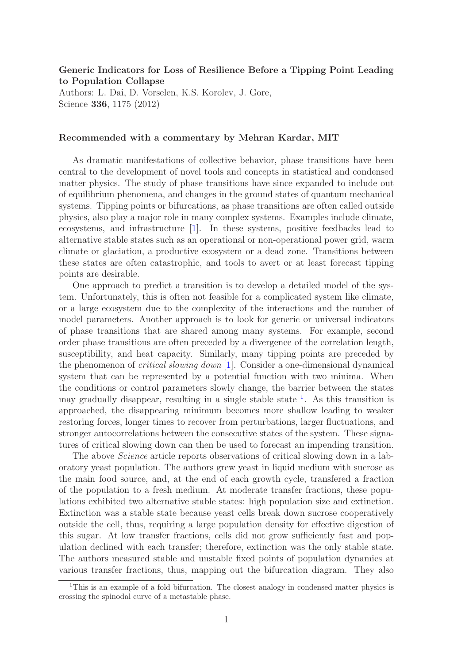## Generic Indicators for Loss of Resilience Before a Tipping Point Leading to Population Collapse

Authors: L. Dai, D. Vorselen, K.S. Korolev, J. Gore, Science 336, 1175 (2012)

## Recommended with a commentary by Mehran Kardar, MIT

As dramatic manifestations of collective behavior, phase transitions have been central to the development of novel tools and concepts in statistical and condensed matter physics. The study of phase transitions have since expanded to include out of equilibrium phenomena, and changes in the ground states of quantum mechanical systems. Tipping points or bifurcations, as phase transitions are often called outside physics, also play a major role in many complex systems. Examples include climate, ecosystems, and infrastructure [\[1\]](#page-1-0). In these systems, positive feedbacks lead to alternative stable states such as an operational or non-operational power grid, warm climate or glaciation, a productive ecosystem or a dead zone. Transitions between these states are often catastrophic, and tools to avert or at least forecast tipping points are desirable.

One approach to predict a transition is to develop a detailed model of the system. Unfortunately, this is often not feasible for a complicated system like climate, or a large ecosystem due to the complexity of the interactions and the number of model parameters. Another approach is to look for generic or universal indicators of phase transitions that are shared among many systems. For example, second order phase transitions are often preceded by a divergence of the correlation length, susceptibility, and heat capacity. Similarly, many tipping points are preceded by the phenomenon of critical slowing down [\[1\]](#page-1-0). Consider a one-dimensional dynamical system that can be represented by a potential function with two minima. When the conditions or control parameters slowly change, the barrier between the states may gradually disappear, resulting in a single stable state  $\frac{1}{1}$  $\frac{1}{1}$  $\frac{1}{1}$ . As this transition is approached, the disappearing minimum becomes more shallow leading to weaker restoring forces, longer times to recover from perturbations, larger fluctuations, and stronger autocorrelations between the consecutive states of the system. These signatures of critical slowing down can then be used to forecast an impending transition.

The above *Science* article reports observations of critical slowing down in a laboratory yeast population. The authors grew yeast in liquid medium with sucrose as the main food source, and, at the end of each growth cycle, transfered a fraction of the population to a fresh medium. At moderate transfer fractions, these populations exhibited two alternative stable states: high population size and extinction. Extinction was a stable state because yeast cells break down sucrose cooperatively outside the cell, thus, requiring a large population density for effective digestion of this sugar. At low transfer fractions, cells did not grow sufficiently fast and population declined with each transfer; therefore, extinction was the only stable state. The authors measured stable and unstable fixed points of population dynamics at various transfer fractions, thus, mapping out the bifurcation diagram. They also

<span id="page-0-0"></span><sup>&</sup>lt;sup>1</sup>This is an example of a fold bifurcation. The closest analogy in condensed matter physics is crossing the spinodal curve of a metastable phase.